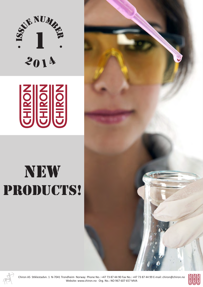



# new PRODUCTS!





Chiron AS Stiklestadvn. 1 N-7041 Trondheim Norway Phone No.: +47 73 87 44 90 Fax No.: +47 73 87 44 99 E-mail: chiron@chiron.no Website: www.chiron.no Org. No.: NO 967 607 657 MVA

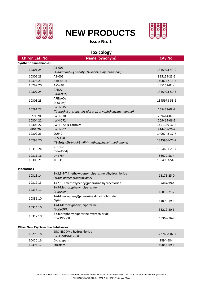

# **NEW PRODUCTS**



### **Issue No. 1**

| <b>Toxicology</b>                        |                                                                                              |                |  |
|------------------------------------------|----------------------------------------------------------------------------------------------|----------------|--|
| <b>Chiron Cat. No.</b>                   | <b>Name (Synonym)</b>                                                                        | <b>CAS No.</b> |  |
| <b>Synthetic Cannabinoids</b>            |                                                                                              |                |  |
| 10301.24                                 | AB-001<br>(1-Adamantyl-[1-pentyl-1H-indol-3-yl]methanone)                                    | 1345973-49-0   |  |
| 10302.23                                 | AB-005                                                                                       | 895155-25-6    |  |
| 10306.23                                 | <b>AKB-48-5F</b>                                                                             | 1400742-13-3   |  |
| 10292.20                                 | AM-694                                                                                       | 335161-03-0    |  |
| 10307.24                                 | <b>APICA</b><br>$(SDB-001)$                                                                  | 1345973-50-3   |  |
| 10308.23                                 | <b>APINACA</b><br>$(AKB-48)$                                                                 | 1345973-53-6   |  |
| 10291.23                                 | <b>JWH-015</b><br>((2-Methyl-1-propyl-1H-idol-3-yl)-1-naphthenylmethanone)                   | 155471-08-2    |  |
| 9771.20                                  | <b>JWH-030</b>                                                                               | 209414-07-3    |  |
| 10304.22                                 | <b>JWH-072</b>                                                                               | 209414-06-2    |  |
| 10305.22                                 | JWH-072-N-carboxy                                                                            | 1451369-32-6   |  |
| 9804.26                                  | <b>JWH-307</b>                                                                               | 914458-26-7    |  |
| 10309.23                                 | <b>QUPIC</b>                                                                                 | 1400742-17-7   |  |
| 10293.20                                 | <b>RCS-4-4C</b><br>((1-Butyl-1H-indol-3-yl)(4-methoxyphenyl)-methanone)                      | 1345966-77-9   |  |
| 10310.24                                 | STS-135<br>$(5F-APICA)$                                                                      | 1354631-26-7   |  |
| 10311.16                                 | <b>URB754</b>                                                                                | 86672-58-4     |  |
| 10303.21                                 | <b>XLR-11</b>                                                                                | 1364933-54-9   |  |
| <b>Piperazines</b>                       |                                                                                              |                |  |
| 10313.14                                 | 1-(2,3,4-Trimethoxybenzyl)piperazine dihydrochloride<br>(Trade name: Trimetazidine)          | 13171-25-0     |  |
| 10319.13                                 | 1-(2,5-Dimethoxybenzyl)piperazine hydrochloride                                              | 37497-99-1     |  |
| 10333.11                                 | 1-(3-Methoxyphenyl)piperazine<br>$(3-MeOPP)$<br>1-(4-Fluorophenyl)piperazine dihydrochloride | 16015-71-7     |  |
| 10331.10                                 | (FPP)                                                                                        | 64090-19-3     |  |
| 10334.10                                 | 1-(4-Methoxyphenyl)piperazine<br>$(4-MeOPP)$                                                 | 38212-30-5     |  |
| 10312.10                                 | 3-Chlorophenylpiperazine hydrochloride<br>$(m$ -CPP HCl $)$                                  | 65369-76-8     |  |
| <b>Other New Psychoactive Substances</b> |                                                                                              |                |  |
| 10290.18                                 | 25C-NB2OMe hydrochloride<br>(2C-C-NBOMe HCl)                                                 | 1227608-02-7   |  |
| 10420.16                                 | Diclazepam                                                                                   | 2894-68-4      |  |

10394.17 Etizolam 40054-69-1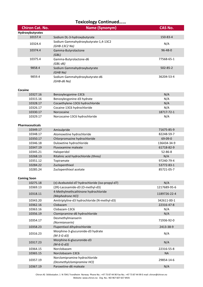# **Toxicology Continued……**

| <b>Chiron Cat. No.</b> | <b>Name (Synonym)</b>                                   | <b>CAS No.</b> |
|------------------------|---------------------------------------------------------|----------------|
| Hydroxybutyrates       |                                                         |                |
| 10157.4                | Sodium DL-3-hydroxybutyrate                             | 150-83-4       |
|                        | Sodium Gammahydroxybutyrate-1,4-13C2                    |                |
| 10324.4                | (GHB-13C2 Na)                                           | N/A            |
| 10374.4                | Gamma-Butyrolactone<br>(GBL)                            | $96 - 48 - 0$  |
| 10375.4                | Gamma-Butyrolactone-d6<br>$(GBL-d6)$                    | 77568-65-1     |
| 9858.4                 | Sodium Gammahydroxybutyrate<br>(GHB Na)                 | $502 - 85 - 2$ |
| 9859.4                 | Sodium Gammahydroxybutyrate-d6<br>(GHB-d6 Na)           | 36204-53-4     |
| Cocaine                |                                                         |                |
| 10327.16               | Benzoylecgonine-13C6                                    | N/A            |
| 10315.16               | Benzoylecgonine-d3 hydrate                              | N/A            |
| 10328.17               | Cocaethylene-13C6 hydrochloride                         | N/A            |
| 10326.17               | Cocaine-13C6 hydrochloride                              | N/A            |
| 10330.17               | Norcocaine                                              | 18717-72-1     |
| 10329.17               | Norcocaine-13C6 hydrochloride                           | N/A            |
| <b>Pharmaceuticals</b> |                                                         |                |
| 10349.17               | Amisulpride                                             | 71675-85-9     |
| 10348.17               | Atomoxetine hydrochloride                               | 82248-59-7     |
| 10350.17               | Chlorpromazine hydrochloride                            | 69-09-0        |
| 10346.18               | Duloxetine hydrochloride                                | 136434-34-9    |
| 10347.19               | Fluvoxamine maleate                                     | 61718-82-9     |
| 10345.21               | Haloperidol                                             | 52-86-8        |
| 10268.13               | Ritalinic acid hydrochloride (threo)                    | N/A            |
| 10351.12               | Topiramate                                              | 97240-79-4     |
| 10284.22               | Zuclopenthixol                                          | 53772-83-1     |
| 10285.24               | Zuclopenthixol acetate                                  | 85721-05-7     |
|                        |                                                         |                |
| <b>Coming Soon</b>     |                                                         |                |
| 10275.18               | (±)-Acebutolol-d7 hydrochloride (iso-propyl-d7)         | N/A            |
| 10369.13               | (2R)-Lacosamide-d3 (O-methyl-d3)                        | 1217689-95-6   |
| 10318.11               | 4-Methylmethcathinone hydrochloride<br>(Mephedrone HCl) | 1189726-22-4   |
| 10343.20               | Amitriptyline-d3 hydrochloride (N-methyl-d3)            | 342611-00-1    |
| 10362.16               | Clobazam                                                | 22316-47-8     |
| 10363.16               | Clobazam-13C6                                           | N/A            |
| 10356.19               | Clomipramine-d6 hydrochloride                           | N/A            |
| 10354.17               | Desmethylmianserin<br>(Normianserin)                    | 71936-92-0     |
| 10358.23               | Flupentixol dihydrochloride                             | 2413-38-9      |
| 10316.23               | Morphine-3-glucuronide-d3 hydrate<br>$(M-3-G-d3)$       | N/A            |
| 10317.23               | Morphine-6-glucuronide-d3<br>$(M-6-G-d3)$               | N/A            |
| 10364.15               | Norclobazam                                             | 22316-55-8     |
| 10365.15               | Norclobazam-13C6                                        | <b>NA</b>      |
|                        | Norclomipramine hydrochloride                           |                |
| 10357.19               | (Desmethylclomipramine HCl)                             | 29854-14-6     |
| 10367.19               | Paroxetine-d6 maleate                                   | N/A            |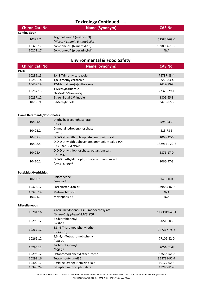## **Toxicology Continued……**

| <b>Chiron Cat. No.</b> | <b>Name (Synonym)</b>                                          | CAS No.      |
|------------------------|----------------------------------------------------------------|--------------|
| <b>Coming Soon</b>     |                                                                |              |
| 10395.7                | Trigonelline-d3 (methyl-d3)<br>(Niacin / vitamin B metabolite) | 515835-69-5  |
| 10325.17               | Zopiclone-d3 (N-methyl-d3)                                     | 1398066-10-8 |
| 10271.17               | Zopiclone-d4 (piperazinyl-d4)                                  | N/A          |

### **Environmental & Food Safety**

| <b>Chiron Cat. No.</b> | Name (Synonym)                           | CAS No.    |
|------------------------|------------------------------------------|------------|
| <b>PAHs</b>            |                                          |            |
| 10289.15               | 1,4,8-Trimethylcarbazole                 | 78787-83-4 |
| 10288.14               | 1,8-Dimethylcarbazole                    | 6558-83-4  |
| 10409.19               | 12-Methylbenz[a]anthracene               | 2422-79-9  |
| 10287.13               | 1-Methylcarbazole<br>(1-Me-9H-Carbazole) | 27323-29-1 |
| 10297.12               | 2-tert-Butyl-1H-indole                   | 1805-65-8  |
| 10286.9                | 6-Methylindole                           | 3420-02-8  |

#### **Flame Retardants/Phosphates**

| 10404.4 | Diethylhydrogenphosphate<br>(DEP)                                  | 598-03-7     |
|---------|--------------------------------------------------------------------|--------------|
| 10403.2 | Dimethylhydrogenphosphate<br>(DMP)                                 | 813-78-5     |
| 10407.4 | O,O-Diethyldithiophosphate, ammonium salt                          | 1068-22-0    |
| 10408.4 | O,O-Diethyldithiophosphate, ammonium salt-13C4<br>(DEDTD-13C4 NH4) | 1329641-22-6 |
| 10405.4 | O,O-Diethylthiophosphate, potassium salt<br>(DETP $K$ )            | 5871-17-0    |
| 10410.2 | O,O-Dimethyldithiophosphate, ammonium salt<br>(DMBTD NH4)          | 1066-97-3    |

#### **Pesticides/Herbicides**

| 10280.1  | Chlordecone<br>(Kepone) | 143-50-0    |
|----------|-------------------------|-------------|
| 10322.12 | Forchlorfenuron-d5      | 139865-87-6 |
| 10320.14 | Metazachlor-d6          | N/A         |
| 10321.7  | Mevinphos-d6            | N/A         |

#### **Miscellaneous**

| 10281.16 | 4-tert-Octylphenol-13C6 monoethoxylate<br>(4-tert-Octylphenol-13C6 EO) | 1173019-48-1 |
|----------|------------------------------------------------------------------------|--------------|
| 10295.12 | 2-Chlorobiphenyl<br>$(PCB-1)$                                          | 2051-60-7    |
| 10267.12 | 3,3',4-Tribromodiphenyl ether<br>$(PBDE-33)$                           | 147217-78-5  |
| 10266.12 | 3,3',4,4'-Tetrabromobiphenyl<br>$(PBB-77)$                             | 77102-82-0   |
| 10296.12 | 3-Chlorobiphenyl<br>$(PCB-2)$                                          | 2051-61-8    |
| 10298.12 | Octabromodiphenyl ether, techn.                                        | 32536-52-0   |
| 10299.16 | Tetra-n-butyltin-d36                                                   | 358731-92-7  |
| 10402.17 | Acridine Orange Hemizinc Salt                                          | 10127-02-3   |
| 10340.24 | n-Heptan n-nonyl phthalate                                             | 19295-81-9   |